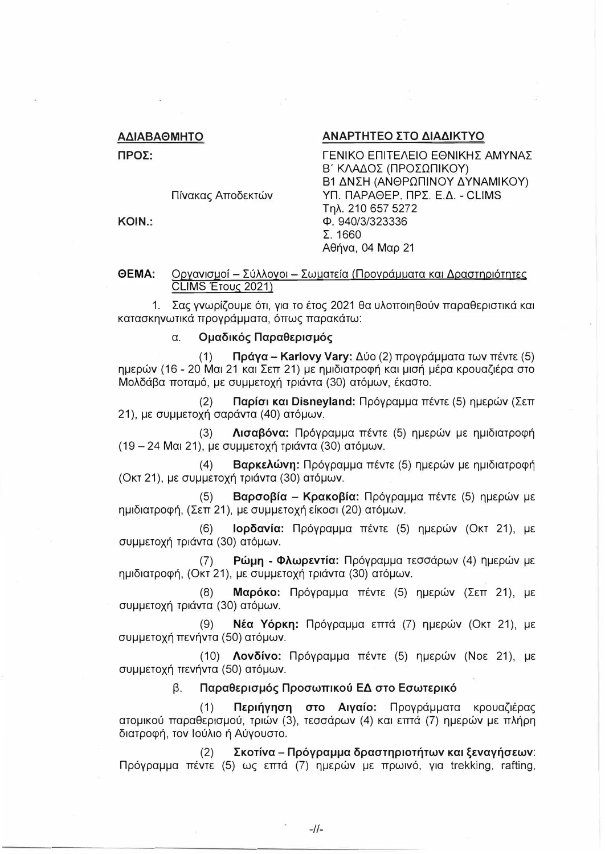## ΑΔΙΑΒΑΘΜΗΤΟ

ΠΡΟΣ:

Πίνακας Αποδεκτών

KOIN.:

# ΑΝΑΡΤΗΤΕΟ ΣΤΟ ΔΙΑΔΙΚΤΥΟ

ΓΕΝΙΚΟ ΕΠΙΤΕΛΕΙΟ ΕΘΝΙΚΗΣ ΑΜΥΝΑΣ Β΄ ΚΛΑΔΟΣ (ΠΡΟΣΩΠΙΚΟΥ) Β1 ΔΝΣΗ (ΑΝΘΡΩΠΙΝΟΥ ΔΥΝΑΜΙΚΟΥ) ΥΠ. ΠΑΡΑΘΕΡ. ΠΡΣ. Ε.Δ. - CLIMS Tnλ. 210 657 5272 Ф. 940/3/323336  $\Sigma.1660$ Αθήνα, 04 Μαρ 21

## OFMA<sup>.</sup> Οργανισμοί - Σύλλογοι - Σωματεία (Προγράμματα και Δραστηριότητες CLIMS ETOUC 2021)

1. Σας γνωρίζουμε ότι, για το έτος 2021 θα υλοποιηθούν παραθεριστικά και κατασκηνωτικά προνράμματα, όπως παρακάτω:

### Ομαδικός Παραθερισμός  $\alpha$ .

Πράγα - Karlovy Vary: Δύο (2) προγράμματα των πέντε (5)  $(1)$ ημερών (16 - 20 Μαι 21 και Σεπ 21) με ημιδιατροφή και μισή μέρα κρουαζιέρα στο Μολδάβα ποταμό, με συμμετοχή τριάντα (30) ατόμων, έκαστο.

Παρίσι και Disneyland: Πρόγραμμα πέντε (5) ημερών (Σεπ  $(2)$ 21), με συμμετοχή σαράντα (40) ατόμων.

 $(3)$ Λισαβόνα: Πρόγραμμα πέντε (5) ημερών με ημιδιατροφή  $(19 - 24$  Μαι 21), με συμμετοχή τριάντα (30) ατόμων.

Βαρκελώνη: Πρόγραμμα πέντε (5) ημερών με ημιδιατροφή  $(4)$ (Οκτ 21), με συμμετοχή τριάντα (30) ατόμων.

Βαρσοβία – Κρακοβία: Πρόγραμμα πέντε (5) ημερών με  $(5)$ ημιδιατροφή, (Σεπ 21), με συμμετοχή είκοσι (20) ατόμων.

Ιορδανία: Πρόγραμμα πέντε (5) ημερών (Οκτ 21), με  $(6)$ συμμετοχή τριάντα (30) ατόμων.

Ρώμη - Φλωρεντία: Πρόγραμμα τεσσάρων (4) ημερών με  $(7)$ ημιδιατροφή, (Οκτ 21), με συμμετοχή τριάντα (30) ατόμων.

Μαρόκο: Πρόγραμμα πέντε (5) ημερών (Σεπ 21), με  $(8)$ συμμετοχή τριάντα (30) ατόμων.

 $(9)$ Νέα Υόρκη: Πρόγραμμα επτά (7) ημερών (Οκτ 21), με συμμετοχή πενήντα (50) ατόμων.

(10) Λονδίνο: Πρόγραμμα πέντε (5) ημερών (Νοε 21), με συμμετοχή πενήντα (50) ατόμων.

> β. Παραθερισμός Προσωπικού ΕΔ στο Εσωτερικό

 $(1)$ Περιήγηση στο Αιγαίο: Προγράμματα κρουαζιέρας ατομικού παραθερισμού, τριών (3), τεσσάρων (4) και επτά (7) ημερών με πλήρη διατροφή, τον Ιούλιο ή Αύγουστο.

Σκοτίνα – Πρόγραμμα δραστηριοτήτων και ξεναγήσεων:  $(2)$ Πρόγραμμα πέντε (5) ως επτά (7) ημερών με πρωινό, για trekking, rafting,

 $-11-$